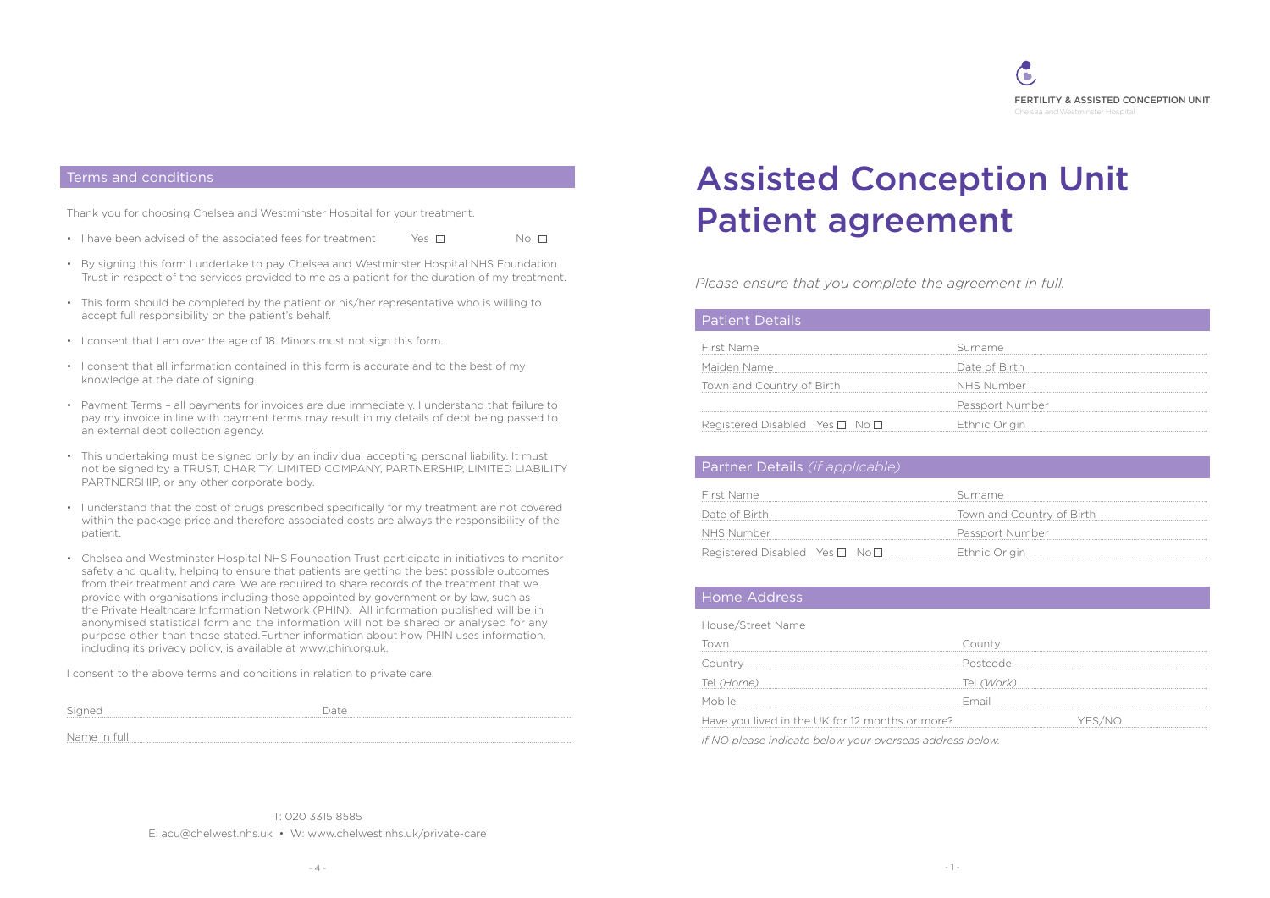

# Assisted Conception Unit Patient agreement

*Please ensure that you complete the agreement in full.*

# Patient Details

#### Terms and conditions

## Partner Details *(if applicable)*

#### Home Address

Thank you for choosing Chelsea and Westminster Hospital for your treatment.

- I have been advised of the associated fees for treatment  $\qquad \qquad$  Yes  $\Box$  No  $\Box$
- By signing this form I undertake to pay Chelsea and Westminster Hospital NHS Foundation Trust in respect of the services provided to me as a patient for the duration of my treatment.
- This form should be completed by the patient or his/her representative who is willing to accept full responsibility on the patient's behalf.
- I consent that I am over the age of 18. Minors must not sign this form.
- I consent that all information contained in this form is accurate and to the best of my knowledge at the date of signing.
- Payment Terms all payments for invoices are due immediately. I understand that failure to pay my invoice in line with payment terms may result in my details of debt being passed to an external debt collection agency.
- This undertaking must be signed only by an individual accepting personal liability. It must not be signed by a TRUST, CHARITY, LIMITED COMPANY, PARTNERSHIP, LIMITED LIABILITY PARTNERSHIP, or any other corporate body.
- I understand that the cost of drugs prescribed specifically for my treatment are not covered within the package price and therefore associated costs are always the responsibility of the patient.
- Chelsea and Westminster Hospital NHS Foundation Trust participate in initiatives to monitor safety and quality, helping to ensure that patients are getting the best possible outcomes from their treatment and care. We are required to share records of the treatment that we provide with organisations including those appointed by government or by law, such as the Private Healthcare Information Network (PHIN). All information published will be in anonymised statistical form and the information will not be shared or analysed for any purpose other than those stated.Further information about how PHIN uses information, including its privacy policy, is available at www.phin.org.uk.

| First Name                     | Surname         |
|--------------------------------|-----------------|
|                                |                 |
| Maiden Name                    | Date of Birth   |
| Town and Country of Birth      | NHS Number      |
|                                | Passport Number |
| Registered Disabled Yes □ No □ | Ethnic Origin   |
|                                |                 |

Signed Date Date Name in full .................................................................................................................................................................................................................................................................. ..................................................................................................................................................................................................................................................................

I consent to the above terms and conditions in relation to private care.

| First Name                               | Surname         |
|------------------------------------------|-----------------|
| Maiden Name                              | Date of Birth   |
| Town and Country of Birth                | NHS Number      |
|                                          | Passport Number |
| Registered Disabled Yes $\Box$ No $\Box$ | Ethnic Origin   |

| County     |        |
|------------|--------|
| Postcode   |        |
| Tel (Work) |        |
| Email      |        |
|            | YES/NO |
| $\sqrt{1}$ |        |

| First Name                    | Surname                   |
|-------------------------------|---------------------------|
| Date of Birth                 | Town and Country of Birth |
| NHS Number                    | Passport Number           |
| Registered Disabled Yes □ No□ | Ethnic Origin             |

| First Name                                     | Surname                   |
|------------------------------------------------|---------------------------|
| Date of Birth                                  | Town and Country of Birth |
| NHS Number                                     | Passport Number           |
| Registered Disabled Yes $\square$ No $\square$ | Ethnic Origin             |

| House/Street Name                                        |            |        |
|----------------------------------------------------------|------------|--------|
| lowr                                                     | County     |        |
| Country                                                  | Postcode   |        |
| Tel <i>(Home)</i>                                        | Tel (Work) |        |
| Mobile                                                   | Email      |        |
| Have you lived in the UK for 12 months or more?          |            | YFS/NO |
| If NO please indicate below your overseas address below. |            |        |